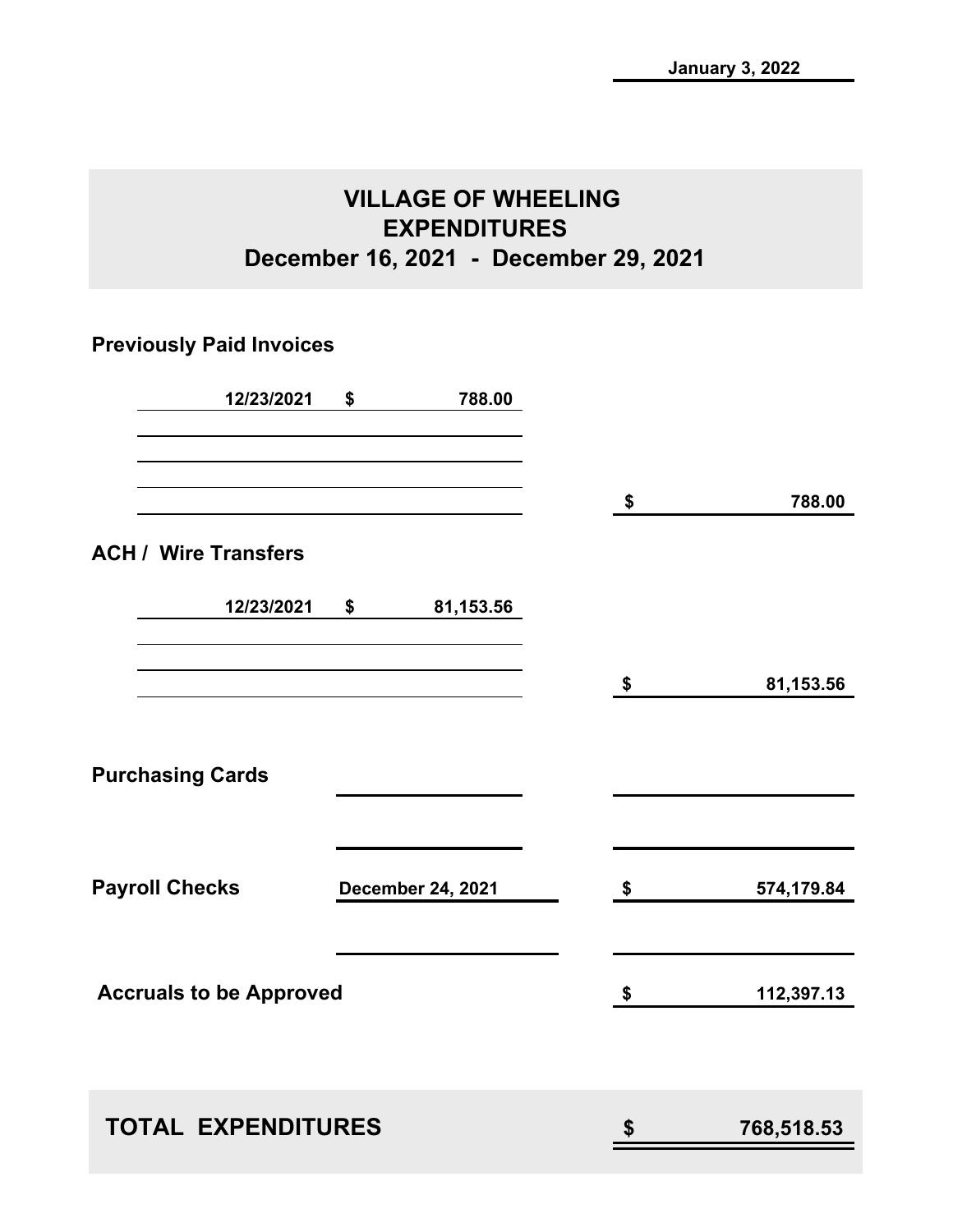## **VILLAGE OF WHEELING EXPENDITURES December 16, 2021 - December 29, 2021**

## **Previously Paid Invoices**

| 12/23/2021                     | \$<br>788.00             |    |            |
|--------------------------------|--------------------------|----|------------|
|                                |                          | \$ | 788.00     |
| <b>ACH / Wire Transfers</b>    |                          |    |            |
| 12/23/2021                     | \$<br>81,153.56          |    |            |
|                                |                          | \$ | 81,153.56  |
| <b>Purchasing Cards</b>        |                          |    |            |
| <b>Payroll Checks</b>          | <b>December 24, 2021</b> | \$ | 574,179.84 |
| <b>Accruals to be Approved</b> |                          | \$ | 112,397.13 |
| <b>TOTAL EXPENDITURES</b>      |                          | S  | 768,518.53 |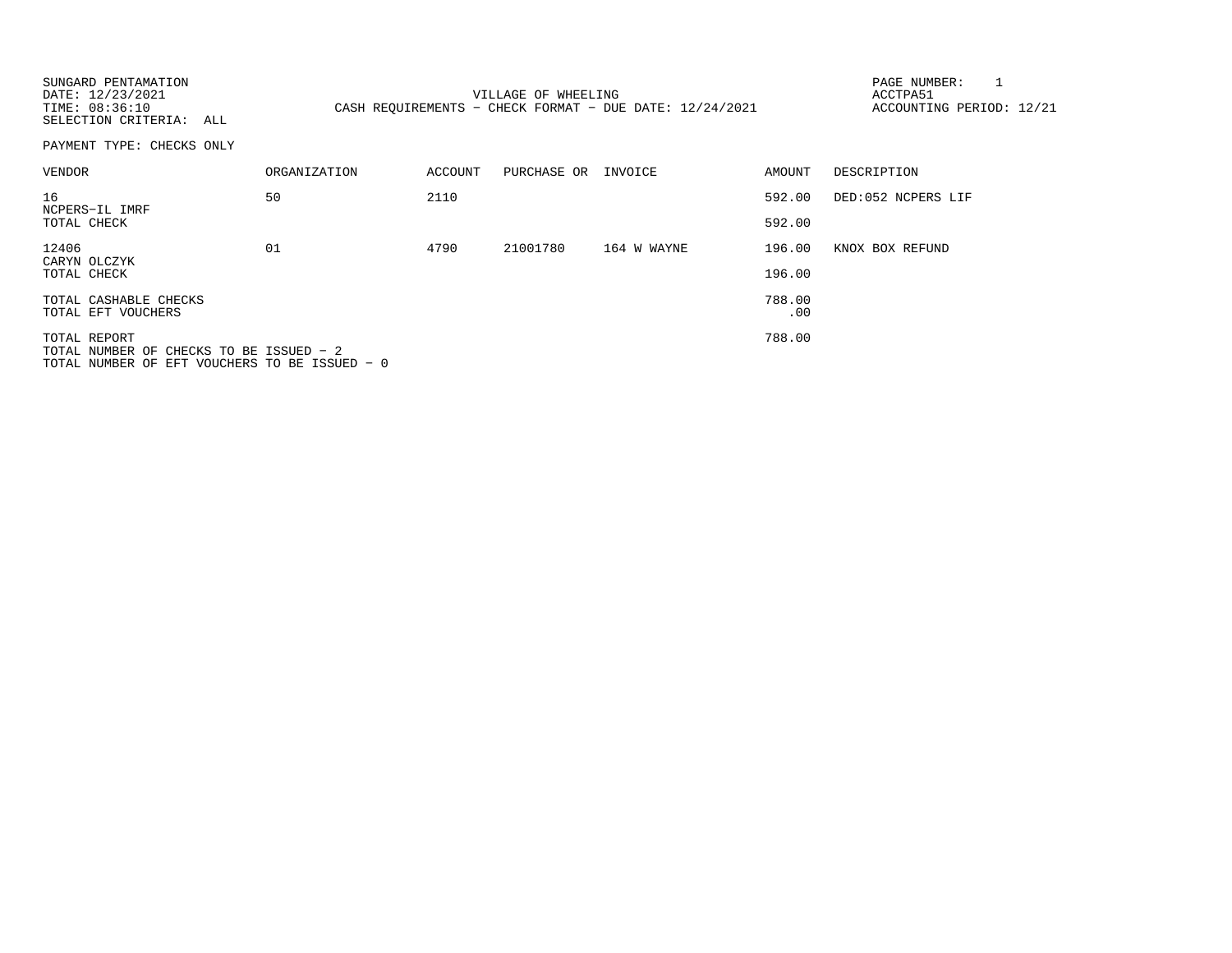| SUNGARD PENTAMATION<br>DATE: 12/23/2021<br>TIME: 08:36:10<br>SELECTION CRITERIA: ALL                     |                     |         | VILLAGE OF WHEELING | CASH REQUIREMENTS - CHECK FORMAT - DUE DATE: 12/24/2021 |               | PAGE NUMBER:<br>ACCTPA51<br>ACCOUNTING PERIOD: 12/21 |
|----------------------------------------------------------------------------------------------------------|---------------------|---------|---------------------|---------------------------------------------------------|---------------|------------------------------------------------------|
| PAYMENT TYPE: CHECKS ONLY                                                                                |                     |         |                     |                                                         |               |                                                      |
| VENDOR                                                                                                   | <b>ORGANIZATION</b> | ACCOUNT | PURCHASE OR INVOICE |                                                         | AMOUNT        | DESCRIPTION                                          |
| 16<br>NCPERS-IL IMRF                                                                                     | 50                  | 2110    |                     |                                                         | 592.00        | DED:052 NCPERS LIF                                   |
| TOTAL CHECK                                                                                              |                     |         |                     |                                                         | 592.00        |                                                      |
| 12406<br>CARYN OLCZYK                                                                                    | 01                  | 4790    | 21001780            | 164 W WAYNE                                             | 196.00        | KNOX BOX REFUND                                      |
| TOTAL CHECK                                                                                              |                     |         |                     |                                                         | 196.00        |                                                      |
| TOTAL CASHABLE CHECKS<br>TOTAL EFT VOUCHERS                                                              |                     |         |                     |                                                         | 788.00<br>.00 |                                                      |
| TOTAL REPORT<br>TOTAL NUMBER OF CHECKS TO BE ISSUED - 2<br>TOTAL NUMBER OF EFT VOUCHERS TO BE ISSUED - 0 |                     |         |                     |                                                         | 788.00        |                                                      |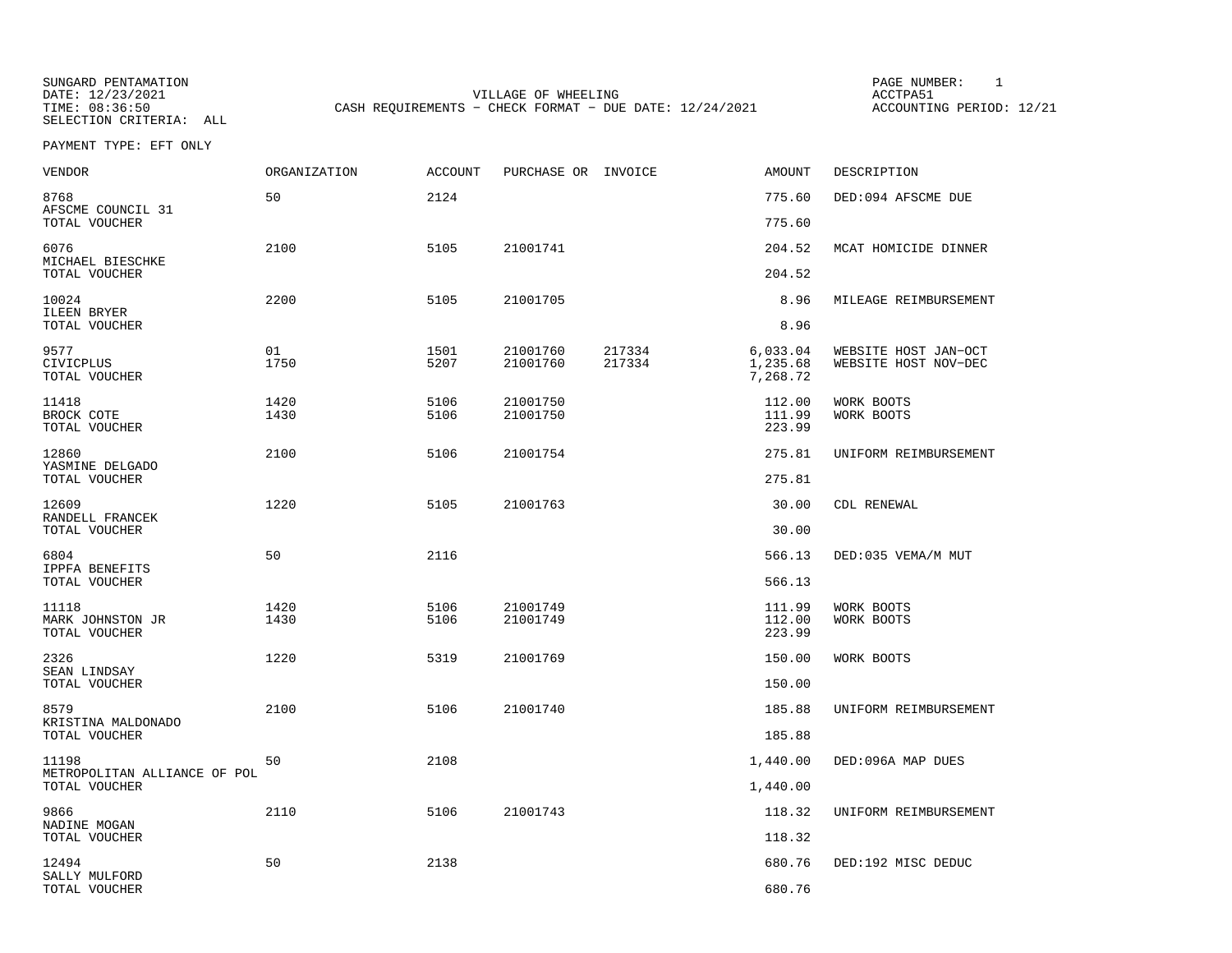SUNGARD PENTAMATION SUNGARD PENTAMATION SUNG PAGE NUMBER: 1 SUNGARD PENTAMATION SUNG PAGE NUMBER: 1 SUNG PAGE NUMBER: 1 SUNG PAGE NUMBER: 1 SUNG PAGE NUMBER: 1 SUNG PAGE NUMBER: 1 SUNG PAGE NUMBER: 1 SUNG PAGE NUMBER: 1 SU DATE: 12/23/2021 VILLAGE OF WHEELING ACCTPA51CASH REQUIREMENTS - CHECK FORMAT - DUE DATE: 12/24/2021

ACCOUNTING PERIOD: 12/21

PAYMENT TYPE: EFT ONLY

| VENDOR                                        | ORGANIZATION | <b>ACCOUNT</b> | PURCHASE OR INVOICE  |                  | AMOUNT                           | DESCRIPTION                                  |
|-----------------------------------------------|--------------|----------------|----------------------|------------------|----------------------------------|----------------------------------------------|
| 8768<br>AFSCME COUNCIL 31                     | 50           | 2124           |                      |                  | 775.60                           | DED:094 AFSCME DUE                           |
| TOTAL VOUCHER                                 |              |                |                      |                  | 775.60                           |                                              |
| 6076<br>MICHAEL BIESCHKE                      | 2100         | 5105           | 21001741             |                  | 204.52                           | MCAT HOMICIDE DINNER                         |
| TOTAL VOUCHER                                 |              |                |                      |                  | 204.52                           |                                              |
| 10024<br>ILEEN BRYER<br>TOTAL VOUCHER         | 2200         | 5105           | 21001705             |                  | 8.96<br>8.96                     | MILEAGE REIMBURSEMENT                        |
|                                               |              |                |                      |                  |                                  |                                              |
| 9577<br>CIVICPLUS<br>TOTAL VOUCHER            | 01<br>1750   | 1501<br>5207   | 21001760<br>21001760 | 217334<br>217334 | 6,033.04<br>1,235.68<br>7,268.72 | WEBSITE HOST JAN-OCT<br>WEBSITE HOST NOV-DEC |
| 11418<br>BROCK COTE<br>TOTAL VOUCHER          | 1420<br>1430 | 5106<br>5106   | 21001750<br>21001750 |                  | 112.00<br>111.99<br>223.99       | WORK BOOTS<br>WORK BOOTS                     |
| 12860                                         | 2100         | 5106           | 21001754             |                  | 275.81                           | UNIFORM REIMBURSEMENT                        |
| YASMINE DELGADO<br>TOTAL VOUCHER              |              |                |                      |                  | 275.81                           |                                              |
| 12609<br>RANDELL FRANCEK                      | 1220         | 5105           | 21001763             |                  | 30.00                            | CDL RENEWAL                                  |
| TOTAL VOUCHER                                 |              |                |                      |                  | 30.00                            |                                              |
| 6804<br>IPPFA BENEFITS                        | 50           | 2116           |                      |                  | 566.13                           | DED:035 VEMA/M MUT                           |
| TOTAL VOUCHER                                 |              |                |                      |                  | 566.13                           |                                              |
| 11118<br>MARK JOHNSTON JR<br>TOTAL VOUCHER    | 1420<br>1430 | 5106<br>5106   | 21001749<br>21001749 |                  | 111.99<br>112.00<br>223.99       | WORK BOOTS<br>WORK BOOTS                     |
| 2326                                          | 1220         | 5319           | 21001769             |                  | 150.00                           | WORK BOOTS                                   |
| SEAN LINDSAY<br>TOTAL VOUCHER                 |              |                |                      |                  | 150.00                           |                                              |
| 8579                                          | 2100         | 5106           | 21001740             |                  | 185.88                           | UNIFORM REIMBURSEMENT                        |
| KRISTINA MALDONADO<br>TOTAL VOUCHER           |              |                |                      |                  | 185.88                           |                                              |
| 11198                                         | 50           | 2108           |                      |                  | 1,440.00                         | DED:096A MAP DUES                            |
| METROPOLITAN ALLIANCE OF POL<br>TOTAL VOUCHER |              |                |                      |                  | 1,440.00                         |                                              |
| 9866                                          | 2110         | 5106           | 21001743             |                  | 118.32                           | UNIFORM REIMBURSEMENT                        |
| NADINE MOGAN<br>TOTAL VOUCHER                 |              |                |                      |                  | 118.32                           |                                              |
| 12494                                         | 50           | 2138           |                      |                  | 680.76                           | DED:192 MISC DEDUC                           |
| SALLY MULFORD<br>TOTAL VOUCHER                |              |                |                      |                  | 680.76                           |                                              |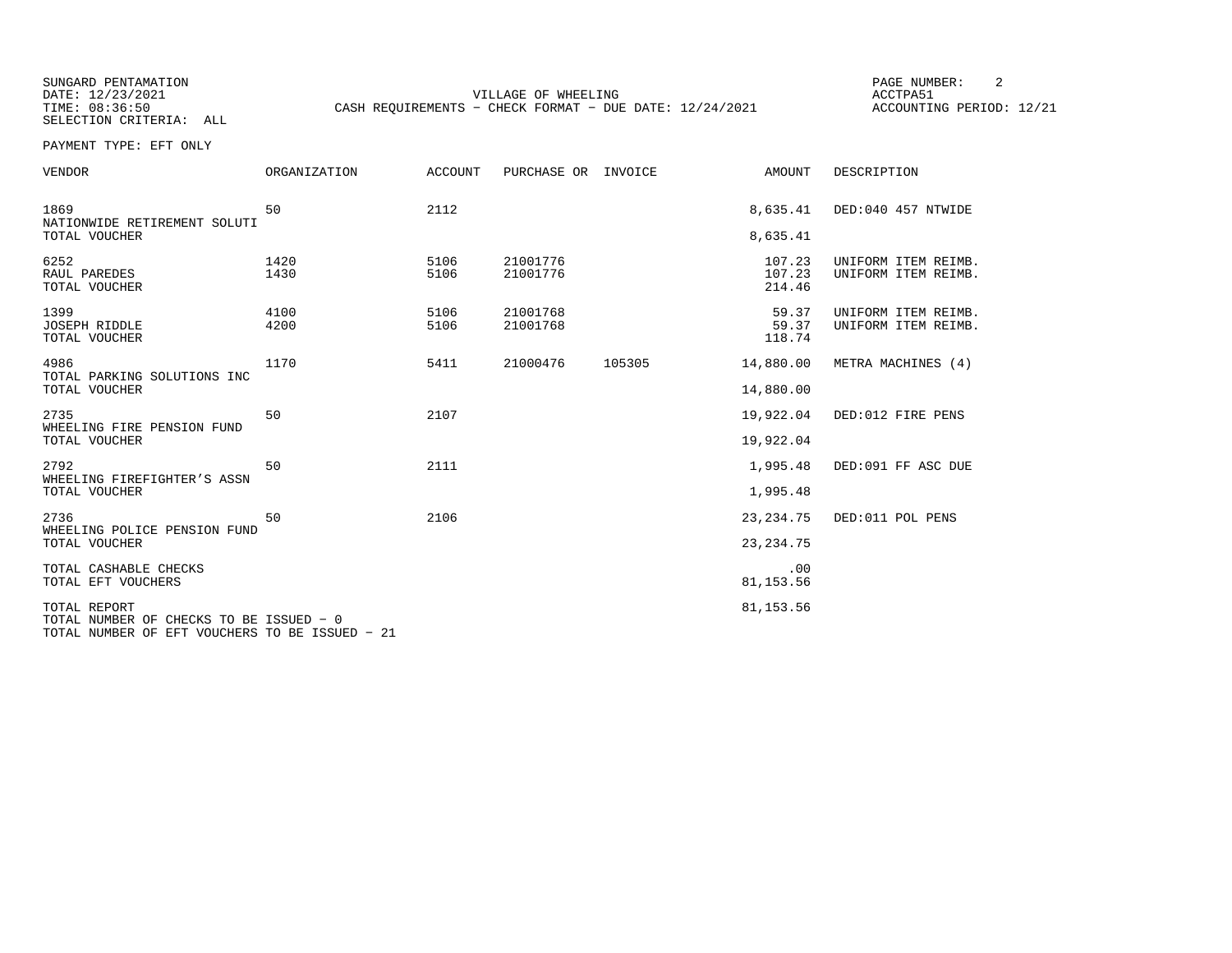SUNGARD PENTAMATION SUNGARD PENTAMATION SUNGARD PAGE NUMBER: 2 SELECTION CRITERIA: ALL

DATE: 12/23/2021 VILLAGE OF WHEELING ACCTPA51CASH REQUIREMENTS - CHECK FORMAT - DUE DATE: 12/24/2021

ACCOUNTING PERIOD: 12/21

PAYMENT TYPE: EFT ONLY

| VENDOR                                                  | ORGANIZATION | ACCOUNT      | PURCHASE OR          | INVOICE | AMOUNT                     | DESCRIPTION                                |
|---------------------------------------------------------|--------------|--------------|----------------------|---------|----------------------------|--------------------------------------------|
| 1869<br>NATIONWIDE RETIREMENT SOLUTI<br>TOTAL VOUCHER   | 50           | 2112         |                      |         | 8,635.41<br>8,635.41       | DED:040 457 NTWIDE                         |
| 6252<br>RAUL PAREDES<br>TOTAL VOUCHER                   | 1420<br>1430 | 5106<br>5106 | 21001776<br>21001776 |         | 107.23<br>107.23<br>214.46 | UNIFORM ITEM REIMB.<br>UNIFORM ITEM REIMB. |
| 1399<br><b>JOSEPH RIDDLE</b><br>TOTAL VOUCHER           | 4100<br>4200 | 5106<br>5106 | 21001768<br>21001768 |         | 59.37<br>59.37<br>118.74   | UNIFORM ITEM REIMB.<br>UNIFORM ITEM REIMB. |
| 4986<br>TOTAL PARKING SOLUTIONS INC                     | 1170         | 5411         | 21000476             | 105305  | 14,880.00                  | METRA MACHINES (4)                         |
| TOTAL VOUCHER                                           |              |              |                      |         | 14,880.00                  |                                            |
| 2735<br>WHEELING FIRE PENSION FUND                      | 50           | 2107         |                      |         | 19,922.04                  | DED:012 FIRE PENS                          |
| TOTAL VOUCHER                                           |              |              |                      |         | 19,922.04                  |                                            |
| 2792<br>WHEELING FIREFIGHTER'S ASSN                     | 50           | 2111         |                      |         | 1,995.48                   | DED:091 FF ASC DUE                         |
| TOTAL VOUCHER                                           |              |              |                      |         | 1,995.48                   |                                            |
| 2736<br>WHEELING POLICE PENSION FUND                    | 50           | 2106         |                      |         | 23, 234. 75                | DED:011 POL PENS                           |
| TOTAL VOUCHER                                           |              |              |                      |         | 23, 234. 75                |                                            |
| TOTAL CASHABLE CHECKS<br>TOTAL EFT VOUCHERS             |              |              |                      |         | .00<br>81, 153.56          |                                            |
| TOTAL REPORT<br>TOTAL NUMBER OF CHECKS TO BE ISSUED - 0 | .            |              |                      |         | 81, 153.56                 |                                            |

TOTAL NUMBER OF EFT VOUCHERS TO BE ISSUED − 21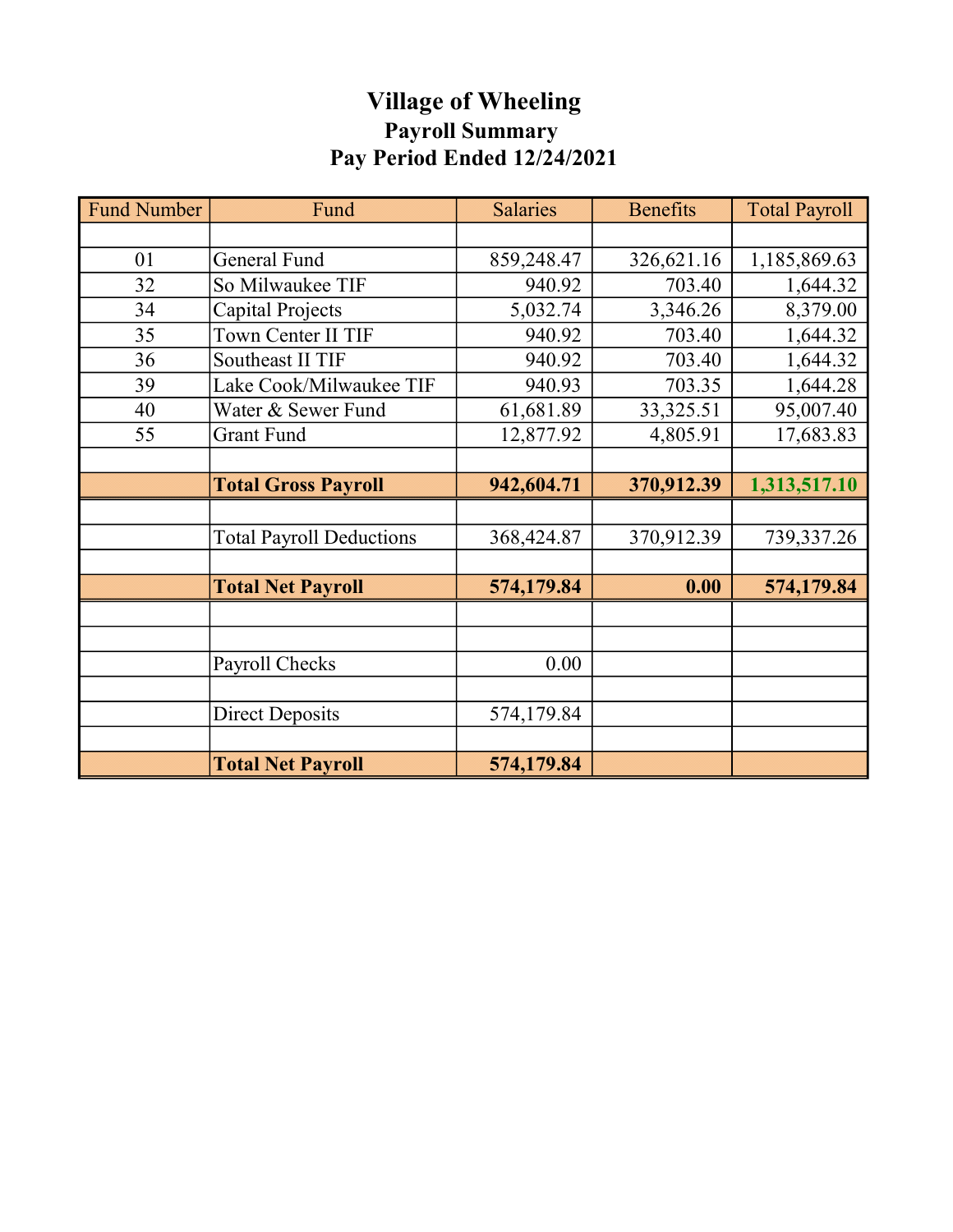## Village of Wheeling Payroll Summary Pay Period Ended 12/24/2021

| <b>Fund Number</b> | Fund                            | <b>Salaries</b> | <b>Benefits</b> | <b>Total Payroll</b> |
|--------------------|---------------------------------|-----------------|-----------------|----------------------|
|                    |                                 |                 |                 |                      |
| 01                 | <b>General Fund</b>             | 859,248.47      | 326,621.16      | 1,185,869.63         |
| 32                 | So Milwaukee TIF                | 940.92          | 703.40          | 1,644.32             |
| 34                 | Capital Projects                | 5,032.74        | 3,346.26        | 8,379.00             |
| 35                 | Town Center II TIF              | 940.92          | 703.40          | 1,644.32             |
| 36                 | Southeast II TIF                | 940.92          | 703.40          | 1,644.32             |
| 39                 | Lake Cook/Milwaukee TIF         | 940.93          | 703.35          | 1,644.28             |
| 40                 | Water & Sewer Fund              | 61,681.89       | 33,325.51       | 95,007.40            |
| 55                 | Grant Fund                      | 12,877.92       | 4,805.91        | 17,683.83            |
|                    |                                 |                 |                 |                      |
|                    | <b>Total Gross Payroll</b>      | 942,604.71      | 370,912.39      | 1,313,517.10         |
|                    |                                 |                 |                 |                      |
|                    | <b>Total Payroll Deductions</b> | 368,424.87      | 370,912.39      | 739,337.26           |
|                    |                                 |                 |                 |                      |
|                    | <b>Total Net Payroll</b>        | 574,179.84      | 0.00            | 574,179.84           |
|                    |                                 |                 |                 |                      |
|                    |                                 |                 |                 |                      |
|                    | Payroll Checks                  | 0.00            |                 |                      |
|                    |                                 |                 |                 |                      |
|                    | <b>Direct Deposits</b>          | 574,179.84      |                 |                      |
|                    |                                 |                 |                 |                      |
|                    | <b>Total Net Payroll</b>        | 574,179.84      |                 |                      |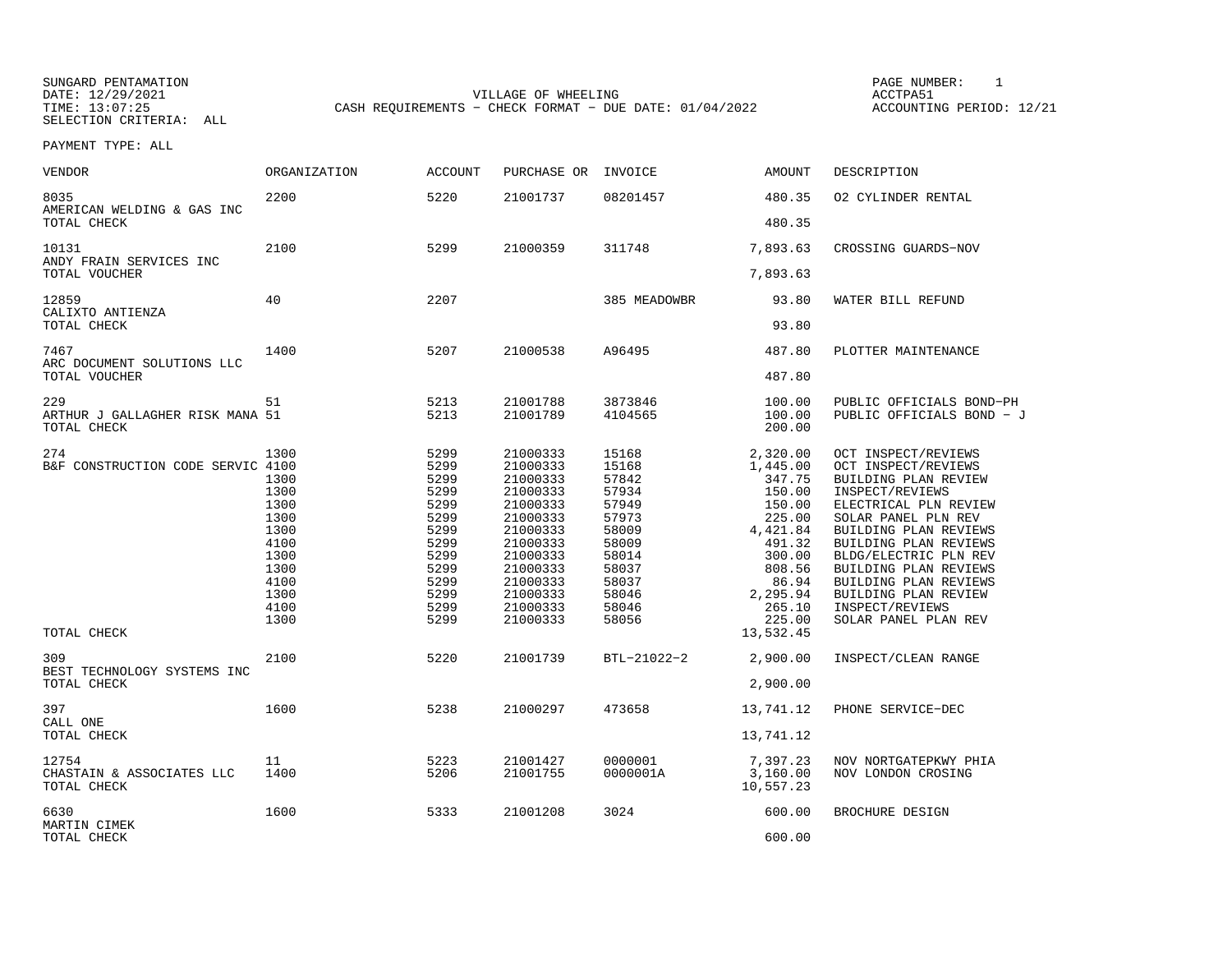SUNGARD PENTAMATION PAGE NUMBER: 1DATE: 12/29/2021 VILLAGE OF WHEELING ACCTPA51

SELECTION CRITERIA: ALL

ACCOUNTING PERIOD: 12/21

PAYMENT TYPE: ALL

| <b>VENDOR</b>                                                                                                | <b>ORGANIZATION</b>                                                                                          | <b>ACCOUNT</b>                                                                                                       | PURCHASE OR                                                                                                                                                                      | INVOICE                                                                                                                                   | <b>AMOUNT</b>                                                                                                                                                                        | DESCRIPTION                                                                                                                                                                                                                                                                                                                                                  |
|--------------------------------------------------------------------------------------------------------------|--------------------------------------------------------------------------------------------------------------|----------------------------------------------------------------------------------------------------------------------|----------------------------------------------------------------------------------------------------------------------------------------------------------------------------------|-------------------------------------------------------------------------------------------------------------------------------------------|--------------------------------------------------------------------------------------------------------------------------------------------------------------------------------------|--------------------------------------------------------------------------------------------------------------------------------------------------------------------------------------------------------------------------------------------------------------------------------------------------------------------------------------------------------------|
| 8035<br>AMERICAN WELDING & GAS INC<br>TOTAL CHECK                                                            | 2200                                                                                                         | 5220                                                                                                                 | 21001737                                                                                                                                                                         | 08201457                                                                                                                                  | 480.35<br>480.35                                                                                                                                                                     | 02 CYLINDER RENTAL                                                                                                                                                                                                                                                                                                                                           |
|                                                                                                              |                                                                                                              |                                                                                                                      |                                                                                                                                                                                  |                                                                                                                                           |                                                                                                                                                                                      |                                                                                                                                                                                                                                                                                                                                                              |
| 10131<br>ANDY FRAIN SERVICES INC<br>TOTAL VOUCHER                                                            | 2100                                                                                                         | 5299                                                                                                                 | 21000359                                                                                                                                                                         | 311748                                                                                                                                    | 7,893.63<br>7,893.63                                                                                                                                                                 | CROSSING GUARDS-NOV                                                                                                                                                                                                                                                                                                                                          |
| 12859<br>CALIXTO ANTIENZA                                                                                    | 40                                                                                                           | 2207                                                                                                                 |                                                                                                                                                                                  | 385 MEADOWBR                                                                                                                              | 93.80                                                                                                                                                                                | WATER BILL REFUND                                                                                                                                                                                                                                                                                                                                            |
| TOTAL CHECK                                                                                                  |                                                                                                              |                                                                                                                      |                                                                                                                                                                                  |                                                                                                                                           | 93.80                                                                                                                                                                                |                                                                                                                                                                                                                                                                                                                                                              |
| 7467<br>ARC DOCUMENT SOLUTIONS LLC                                                                           | 1400                                                                                                         | 5207                                                                                                                 | 21000538                                                                                                                                                                         | A96495                                                                                                                                    | 487.80                                                                                                                                                                               | PLOTTER MAINTENANCE                                                                                                                                                                                                                                                                                                                                          |
| TOTAL VOUCHER                                                                                                |                                                                                                              |                                                                                                                      |                                                                                                                                                                                  |                                                                                                                                           | 487.80                                                                                                                                                                               |                                                                                                                                                                                                                                                                                                                                                              |
| 229<br>ARTHUR J GALLAGHER RISK MANA 51<br>TOTAL CHECK                                                        | 51                                                                                                           | 5213<br>5213                                                                                                         | 21001788<br>21001789                                                                                                                                                             | 3873846<br>4104565                                                                                                                        | 100.00<br>100.00<br>200.00                                                                                                                                                           | PUBLIC OFFICIALS BOND-PH<br>PUBLIC OFFICIALS BOND - J                                                                                                                                                                                                                                                                                                        |
| 274<br>B&F CONSTRUCTION CODE SERVIC 4100<br>TOTAL CHECK<br>309<br>BEST TECHNOLOGY SYSTEMS INC<br>TOTAL CHECK | 1300<br>1300<br>1300<br>1300<br>1300<br>1300<br>4100<br>1300<br>1300<br>4100<br>1300<br>4100<br>1300<br>2100 | 5299<br>5299<br>5299<br>5299<br>5299<br>5299<br>5299<br>5299<br>5299<br>5299<br>5299<br>5299<br>5299<br>5299<br>5220 | 21000333<br>21000333<br>21000333<br>21000333<br>21000333<br>21000333<br>21000333<br>21000333<br>21000333<br>21000333<br>21000333<br>21000333<br>21000333<br>21000333<br>21001739 | 15168<br>15168<br>57842<br>57934<br>57949<br>57973<br>58009<br>58009<br>58014<br>58037<br>58037<br>58046<br>58046<br>58056<br>BTL-21022-2 | 2,320.00<br>1,445.00<br>347.75<br>150.00<br>150.00<br>225.00<br>4,421.84<br>491.32<br>300.00<br>808.56<br>86.94<br>2,295.94<br>265.10<br>225.00<br>13,532.45<br>2,900.00<br>2,900.00 | OCT INSPECT/REVIEWS<br>OCT INSPECT/REVIEWS<br>BUILDING PLAN REVIEW<br>INSPECT/REVIEWS<br>ELECTRICAL PLN REVIEW<br>SOLAR PANEL PLN REV<br>BUILDING PLAN REVIEWS<br>BUILDING PLAN REVIEWS<br>BLDG/ELECTRIC PLN REV<br>BUILDING PLAN REVIEWS<br>BUILDING PLAN REVIEWS<br>BUILDING PLAN REVIEW<br>INSPECT/REVIEWS<br>SOLAR PANEL PLAN REV<br>INSPECT/CLEAN RANGE |
| 397<br>CALL ONE                                                                                              | 1600                                                                                                         | 5238                                                                                                                 | 21000297                                                                                                                                                                         | 473658                                                                                                                                    | 13,741.12                                                                                                                                                                            | PHONE SERVICE-DEC                                                                                                                                                                                                                                                                                                                                            |
| TOTAL CHECK                                                                                                  |                                                                                                              |                                                                                                                      |                                                                                                                                                                                  |                                                                                                                                           | 13,741.12                                                                                                                                                                            |                                                                                                                                                                                                                                                                                                                                                              |
| 12754<br>CHASTAIN & ASSOCIATES LLC<br>TOTAL CHECK                                                            | 11<br>1400                                                                                                   | 5223<br>5206                                                                                                         | 21001427<br>21001755                                                                                                                                                             | 0000001<br>0000001A                                                                                                                       | 7,397.23<br>3,160.00<br>10,557.23                                                                                                                                                    | NOV NORTGATEPKWY PHIA<br>NOV LONDON CROSING                                                                                                                                                                                                                                                                                                                  |
| 6630<br>MARTIN CIMEK                                                                                         | 1600                                                                                                         | 5333                                                                                                                 | 21001208                                                                                                                                                                         | 3024                                                                                                                                      | 600.00                                                                                                                                                                               | BROCHURE DESIGN                                                                                                                                                                                                                                                                                                                                              |
| TOTAL CHECK                                                                                                  |                                                                                                              |                                                                                                                      |                                                                                                                                                                                  |                                                                                                                                           | 600.00                                                                                                                                                                               |                                                                                                                                                                                                                                                                                                                                                              |

CASH REQUIREMENTS - CHECK FORMAT - DUE DATE: 01/04/2022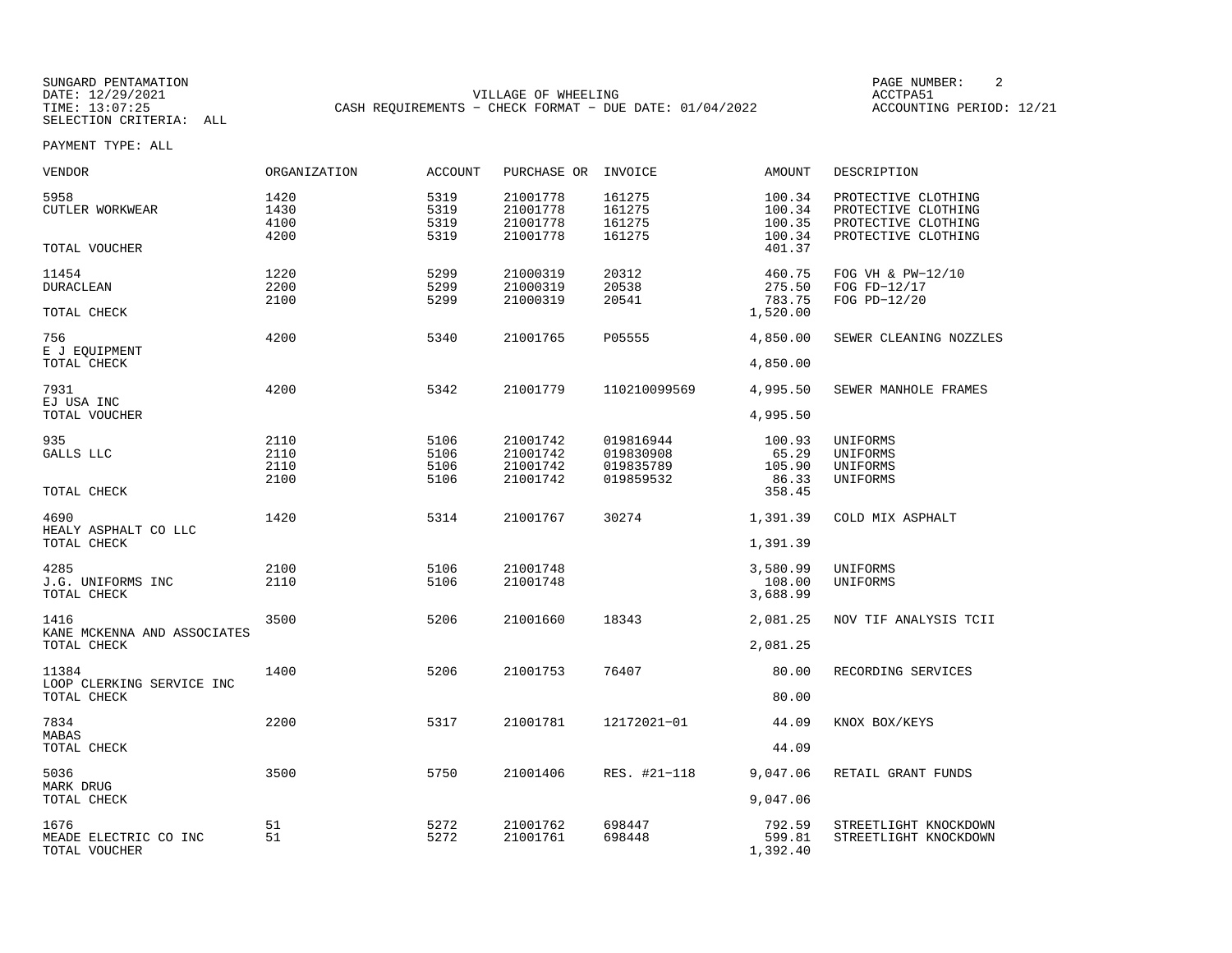SUNGARD PENTAMATION SUNGARD PENTAMATION SUNGARD PAGE NUMBER: 2 DATE: 12/29/2021 VILLAGE OF WHEELING ACCTPA51CASH REQUIREMENTS - CHECK FORMAT - DUE DATE: 01/04/2022

ACCOUNTING PERIOD: 12/21

PAYMENT TYPE: ALL

| <b>VENDOR</b>                               | ORGANIZATION                 | <b>ACCOUNT</b>               | PURCHASE OR                                  | INVOICE                                          | <b>AMOUNT</b>                          | DESCRIPTION                                                                              |
|---------------------------------------------|------------------------------|------------------------------|----------------------------------------------|--------------------------------------------------|----------------------------------------|------------------------------------------------------------------------------------------|
| 5958<br>CUTLER WORKWEAR                     | 1420<br>1430<br>4100<br>4200 | 5319<br>5319<br>5319<br>5319 | 21001778<br>21001778<br>21001778<br>21001778 | 161275<br>161275<br>161275<br>161275             | 100.34<br>100.34<br>100.35<br>100.34   | PROTECTIVE CLOTHING<br>PROTECTIVE CLOTHING<br>PROTECTIVE CLOTHING<br>PROTECTIVE CLOTHING |
| TOTAL VOUCHER                               |                              |                              |                                              |                                                  | 401.37                                 |                                                                                          |
| 11454<br><b>DURACLEAN</b><br>TOTAL CHECK    | 1220<br>2200<br>2100         | 5299<br>5299<br>5299         | 21000319<br>21000319<br>21000319             | 20312<br>20538<br>20541                          | 460.75<br>275.50<br>783.75<br>1,520.00 | FOG VH & PW-12/10<br>FOG FD-12/17<br>FOG PD-12/20                                        |
| 756<br>E J EQUIPMENT                        | 4200                         | 5340                         | 21001765                                     | P05555                                           | 4,850.00                               | SEWER CLEANING NOZZLES                                                                   |
| TOTAL CHECK                                 |                              |                              |                                              |                                                  | 4,850.00                               |                                                                                          |
| 7931<br>EJ USA INC                          | 4200                         | 5342                         | 21001779                                     | 110210099569                                     | 4,995.50                               | SEWER MANHOLE FRAMES                                                                     |
| TOTAL VOUCHER                               |                              |                              |                                              |                                                  | 4,995.50                               |                                                                                          |
| 935<br>GALLS LLC                            | 2110<br>2110<br>2110<br>2100 | 5106<br>5106<br>5106<br>5106 | 21001742<br>21001742<br>21001742<br>21001742 | 019816944<br>019830908<br>019835789<br>019859532 | 100.93<br>65.29<br>105.90<br>86.33     | UNIFORMS<br>UNIFORMS<br>UNIFORMS<br>UNIFORMS                                             |
| TOTAL CHECK                                 |                              |                              |                                              |                                                  | 358.45                                 |                                                                                          |
| 4690<br>HEALY ASPHALT CO LLC<br>TOTAL CHECK | 1420                         | 5314                         | 21001767                                     | 30274                                            | 1,391.39<br>1,391.39                   | COLD MIX ASPHALT                                                                         |
|                                             |                              |                              |                                              |                                                  |                                        |                                                                                          |
| 4285<br>J.G. UNIFORMS INC<br>TOTAL CHECK    | 2100<br>2110                 | 5106<br>5106                 | 21001748<br>21001748                         |                                                  | 3,580.99<br>108.00<br>3,688.99         | UNIFORMS<br>UNIFORMS                                                                     |
| 1416<br>KANE MCKENNA AND ASSOCIATES         | 3500                         | 5206                         | 21001660                                     | 18343                                            | 2,081.25                               | NOV TIF ANALYSIS TCII                                                                    |
| TOTAL CHECK                                 |                              |                              |                                              |                                                  | 2,081.25                               |                                                                                          |
| 11384<br>LOOP CLERKING SERVICE INC          | 1400                         | 5206                         | 21001753                                     | 76407                                            | 80.00                                  | RECORDING SERVICES                                                                       |
| TOTAL CHECK                                 |                              |                              |                                              |                                                  | 80.00                                  |                                                                                          |
| 7834<br>MABAS<br>TOTAL CHECK                | 2200                         | 5317                         | 21001781                                     | 12172021-01                                      | 44.09<br>44.09                         | KNOX BOX/KEYS                                                                            |
|                                             |                              |                              |                                              |                                                  |                                        |                                                                                          |
| 5036<br>MARK DRUG<br>TOTAL CHECK            | 3500                         | 5750                         | 21001406                                     | RES. #21-118                                     | 9,047.06<br>9,047.06                   | RETAIL GRANT FUNDS                                                                       |
| 1676                                        | 51                           | 5272                         | 21001762                                     | 698447                                           | 792.59                                 | STREETLIGHT KNOCKDOWN                                                                    |
| MEADE ELECTRIC CO INC<br>TOTAL VOUCHER      | 51                           | 5272                         | 21001761                                     | 698448                                           | 599.81<br>1,392.40                     | STREETLIGHT KNOCKDOWN                                                                    |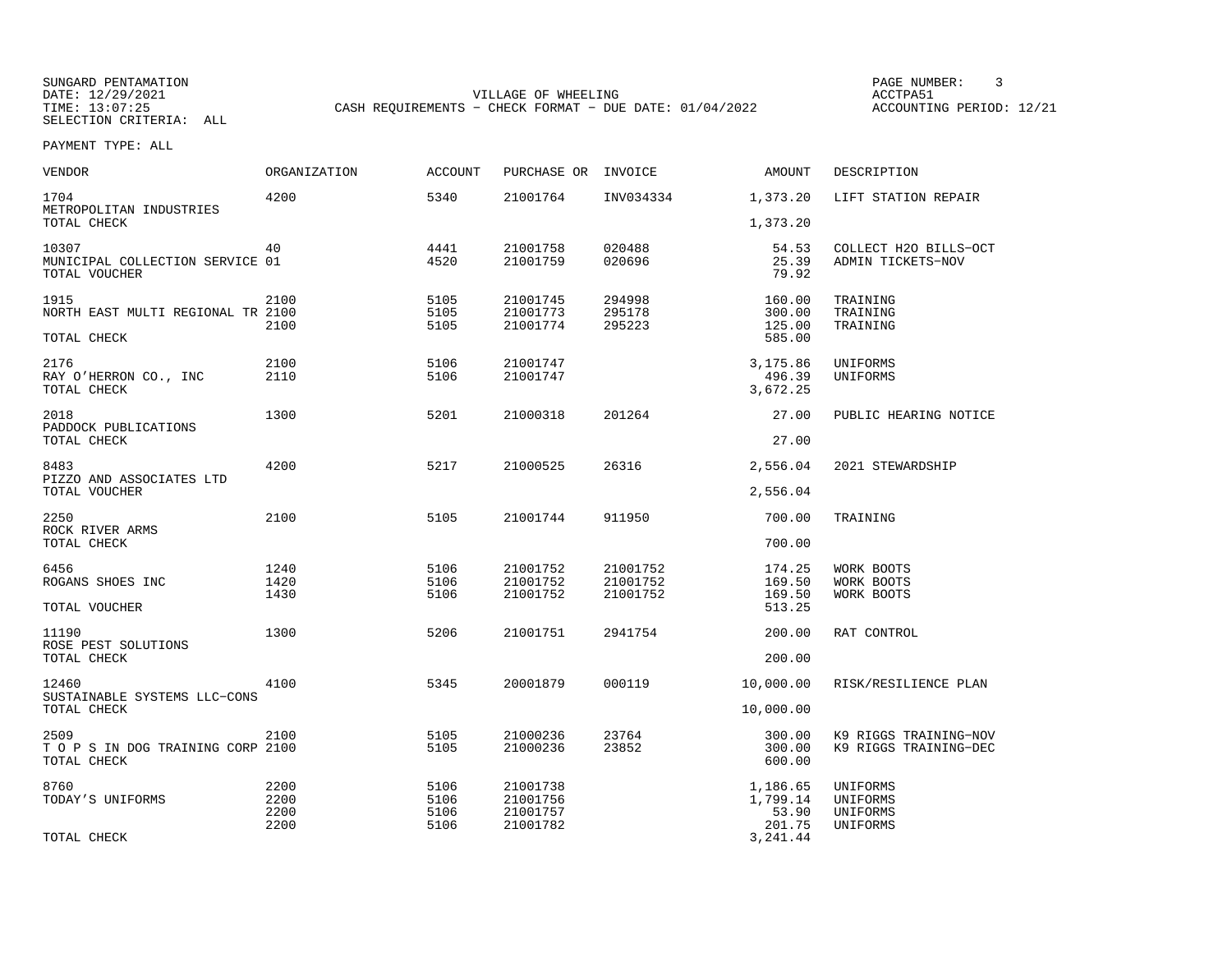SUNGARD PENTAMATION PAGE NUMBER: 3DATE: 12/29/2021 VILLAGE OF WHEELING ACCTPA51CASH REQUIREMENTS - CHECK FORMAT - DUE DATE: 01/04/2022

ACCOUNTING PERIOD: 12/21

PAYMENT TYPE: ALL

| <b>VENDOR</b>                                             | ORGANIZATION                 | <b>ACCOUNT</b>               | PURCHASE OR                                  | INVOICE                          | AMOUNT                                              | DESCRIPTION                                    |
|-----------------------------------------------------------|------------------------------|------------------------------|----------------------------------------------|----------------------------------|-----------------------------------------------------|------------------------------------------------|
| 1704<br>METROPOLITAN INDUSTRIES<br>TOTAL CHECK            | 4200                         | 5340                         | 21001764                                     | INV034334                        | 1,373.20<br>1,373.20                                | LIFT STATION REPAIR                            |
| 10307<br>MUNICIPAL COLLECTION SERVICE 01<br>TOTAL VOUCHER | 40                           | 4441<br>4520                 | 21001758<br>21001759                         | 020488<br>020696                 | 54.53<br>25.39<br>79.92                             | COLLECT H2O BILLS-OCT<br>ADMIN TICKETS-NOV     |
| 1915<br>NORTH EAST MULTI REGIONAL TR 2100<br>TOTAL CHECK  | 2100<br>2100                 | 5105<br>5105<br>5105         | 21001745<br>21001773<br>21001774             | 294998<br>295178<br>295223       | 160.00<br>300.00<br>125.00<br>585.00                | TRAINING<br>TRAINING<br>TRAINING               |
| 2176<br>RAY O'HERRON CO., INC<br>TOTAL CHECK              | 2100<br>2110                 | 5106<br>5106                 | 21001747<br>21001747                         |                                  | 3,175.86<br>496.39<br>3,672.25                      | UNIFORMS<br>UNIFORMS                           |
| 2018<br>PADDOCK PUBLICATIONS<br>TOTAL CHECK               | 1300                         | 5201                         | 21000318                                     | 201264                           | 27.00<br>27.00                                      | PUBLIC HEARING NOTICE                          |
| 8483<br>PIZZO AND ASSOCIATES LTD<br>TOTAL VOUCHER         | 4200                         | 5217                         | 21000525                                     | 26316                            | 2,556.04<br>2,556.04                                | 2021 STEWARDSHIP                               |
| 2250<br>ROCK RIVER ARMS<br>TOTAL CHECK                    | 2100                         | 5105                         | 21001744                                     | 911950                           | 700.00<br>700.00                                    | TRAINING                                       |
| 6456<br>ROGANS SHOES INC<br>TOTAL VOUCHER                 | 1240<br>1420<br>1430         | 5106<br>5106<br>5106         | 21001752<br>21001752<br>21001752             | 21001752<br>21001752<br>21001752 | 174.25<br>169.50<br>169.50<br>513.25                | WORK BOOTS<br>WORK BOOTS<br>WORK BOOTS         |
| 11190<br>ROSE PEST SOLUTIONS<br>TOTAL CHECK               | 1300                         | 5206                         | 21001751                                     | 2941754                          | 200.00<br>200.00                                    | RAT CONTROL                                    |
| 12460<br>SUSTAINABLE SYSTEMS LLC-CONS<br>TOTAL CHECK      | 4100                         | 5345                         | 20001879                                     | 000119                           | 10,000.00<br>10,000.00                              | RISK/RESILIENCE PLAN                           |
| 2509<br>T O P S IN DOG TRAINING CORP 2100<br>TOTAL CHECK  | 2100                         | 5105<br>5105                 | 21000236<br>21000236                         | 23764<br>23852                   | 300.00<br>300.00<br>600.00                          | K9 RIGGS TRAINING-NOV<br>K9 RIGGS TRAINING-DEC |
| 8760<br>TODAY'S UNIFORMS<br>TOTAL CHECK                   | 2200<br>2200<br>2200<br>2200 | 5106<br>5106<br>5106<br>5106 | 21001738<br>21001756<br>21001757<br>21001782 |                                  | 1,186.65<br>1,799.14<br>53.90<br>201.75<br>3,241.44 | UNIFORMS<br>UNIFORMS<br>UNIFORMS<br>UNIFORMS   |